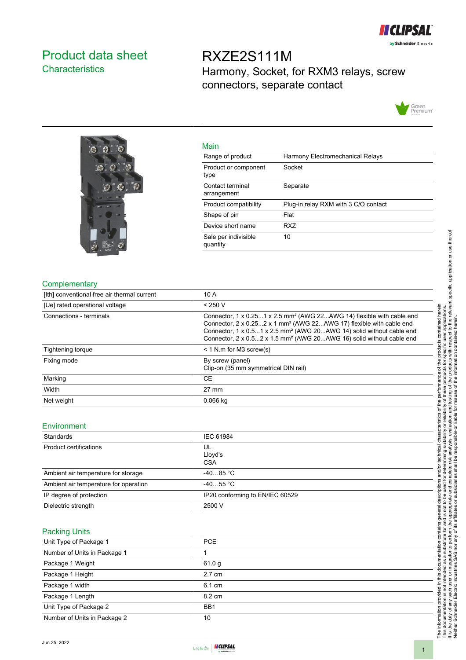

### <span id="page-0-0"></span>Product data sheet **Characteristics**

RXZE2S111M Harmony, Socket, for RXM3 relays, screw connectors, separate contact





| Main                             |                                      |
|----------------------------------|--------------------------------------|
| Range of product                 | Harmony Electromechanical Relays     |
| Product or component<br>type     | Socket                               |
| Contact terminal<br>arrangement  | Separate                             |
| Product compatibility            | Plug-in relay RXM with 3 C/O contact |
| Shape of pin                     | Flat                                 |
| Device short name                | RX7                                  |
| Sale per indivisible<br>quantity | 10                                   |

#### **Complementary**

| [Ith] conventional free air thermal current | 10 A                                                                                                                                                                                                                                                                                                                                         |
|---------------------------------------------|----------------------------------------------------------------------------------------------------------------------------------------------------------------------------------------------------------------------------------------------------------------------------------------------------------------------------------------------|
| [Ue] rated operational voltage              | < 250 V                                                                                                                                                                                                                                                                                                                                      |
| Connections - terminals                     | Connector, 1 x 0.251 x 2.5 mm <sup>2</sup> (AWG 22AWG 14) flexible with cable end<br>Connector, 2 x 0.252 x 1 mm <sup>2</sup> (AWG 22AWG 17) flexible with cable end<br>Connector, 1 x 0.51 x 2.5 mm <sup>2</sup> (AWG 20AWG 14) solid without cable end<br>Connector, 2 x 0.52 x 1.5 mm <sup>2</sup> (AWG 20AWG 16) solid without cable end |
| Tightening torque                           | $<$ 1 N.m for M3 screw(s)                                                                                                                                                                                                                                                                                                                    |
| Fixing mode                                 | By screw (panel)<br>Clip-on (35 mm symmetrical DIN rail)                                                                                                                                                                                                                                                                                     |
| Marking                                     | <b>CE</b>                                                                                                                                                                                                                                                                                                                                    |
| Width                                       | $27 \text{ mm}$                                                                                                                                                                                                                                                                                                                              |
| Net weight                                  | $0.066$ kg                                                                                                                                                                                                                                                                                                                                   |

### Environment

| Standards                             | IEC 61984                       |
|---------------------------------------|---------------------------------|
| Product certifications                | UL<br>Lloyd's<br><b>CSA</b>     |
| Ambient air temperature for storage   | $-4085 °C$                      |
| Ambient air temperature for operation | $-4055$ °C                      |
| IP degree of protection               | IP20 conforming to EN/IEC 60529 |
| Dielectric strength                   | 2500 V                          |

### Packing Units

| <b>PCE</b>       |
|------------------|
|                  |
| 61.0 g           |
| $2.7 \text{ cm}$ |
| 6.1 cm           |
| 8.2 cm           |
| BB <sub>1</sub>  |
| 10               |
|                  |

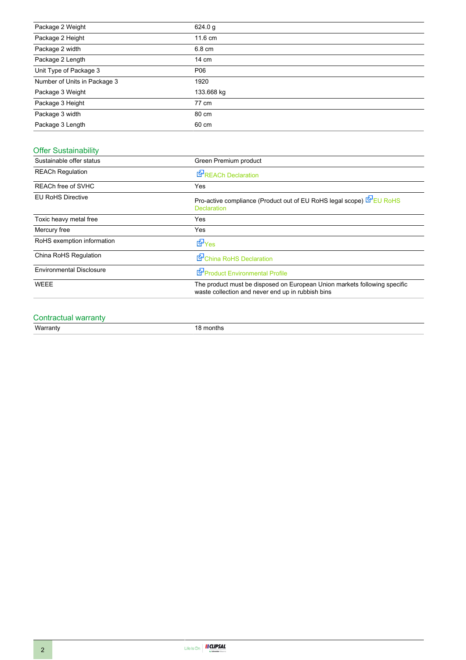| Package 2 Weight             | 624.0 g    |
|------------------------------|------------|
| Package 2 Height             | 11.6 cm    |
| Package 2 width              | 6.8 cm     |
| Package 2 Length             | 14 cm      |
| Unit Type of Package 3       | P06        |
| Number of Units in Package 3 | 1920       |
| Package 3 Weight             | 133.668 kg |
| Package 3 Height             | 77 cm      |
| Package 3 width              | 80 cm      |
| Package 3 Length             | 60 cm      |

### Offer Sustainability

| Sustainable offer status        | Green Premium product                                                                                                          |
|---------------------------------|--------------------------------------------------------------------------------------------------------------------------------|
| <b>REACh Regulation</b>         | <b>E</b> <sup><i>R</i></sup> REACh Declaration                                                                                 |
| REACh free of SVHC              | Yes                                                                                                                            |
| <b>EU RoHS Directive</b>        | Pro-active compliance (Product out of EU RoHS legal scope) EPEU RoHS<br><b>Declaration</b>                                     |
| Toxic heavy metal free          | Yes                                                                                                                            |
| Mercury free                    | Yes                                                                                                                            |
| RoHS exemption information      | dor <sub>Yes</sub>                                                                                                             |
| China RoHS Regulation           | China RoHS Declaration                                                                                                         |
| <b>Environmental Disclosure</b> | Product Environmental Profile                                                                                                  |
| <b>WEEE</b>                     | The product must be disposed on European Union markets following specific<br>waste collection and never end up in rubbish bins |

# Contractual warranty<br>Warranty

18 months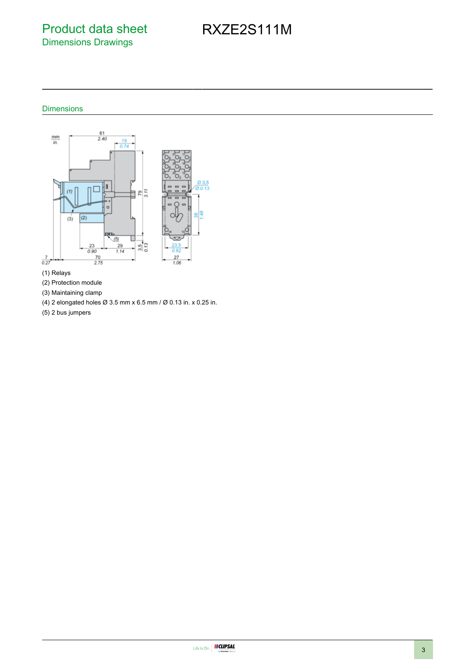### Product data sheet Dimensions Drawings

# RXZE2S111M

### Dimensions



- (1) Relays
- (2) Protection module
- (3) Maintaining clamp
- (4) 2 elongated holes Ø 3.5 mm x 6.5 mm / Ø 0.13 in. x 0.25 in.
- (5) 2 bus jumpers